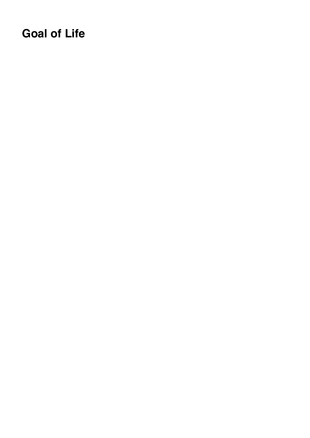# **Goal of Life**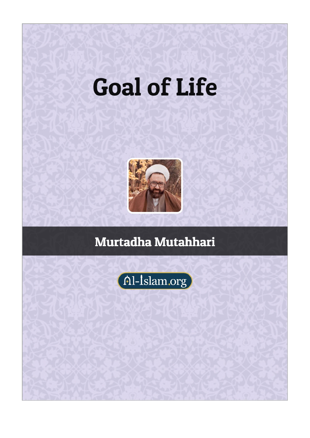# **Goal of Life**



# Murtadha Mutahhari

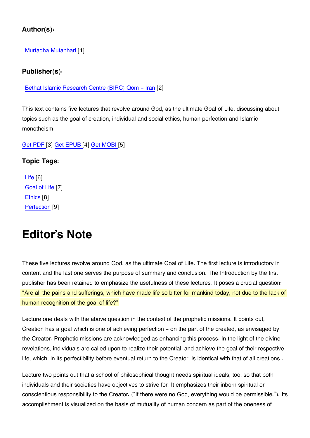#### **Author(s):**

[Murtadha Mutahhari](https://www.al-islam.org/person/murtadha-mutahhari) [1]

#### **Publisher(s):**

[Bethat Islamic Research Centre \(BIRC\) Qom - Iran](https://www.al-islam.org/organization/bethat-islamic-research-centre-birc-qom-iran) [2]

This text contains five lectures that revolve around God, as the ultimate Goal of Life, discussing about topics such as the goal of creation, individual and social ethics, human perfection and Islamic monotheism.

#### [Get PDF \[](https://www.al-islam.org/printpdf/book/export/html/21344)3] [Get EPUB \[](https://www.al-islam.org/printepub/book/export/html/21344)4] [Get MOBI](https://www.al-islam.org/printmobi/book/export/html/21344) [5]

#### **Topic Tags:**

[Life](https://www.al-islam.org/tags/life) [6] [Goal of Life](https://www.al-islam.org/tags/goals) [7] [Ethics](https://www.al-islam.org/tags/ethics) [8] [Perfection](https://www.al-islam.org/tags/perfection) [9]

### **Editor's Note**

These five lectures revolve around God, as the ultimate Goal of Life. The first lecture is introductory in content and the last one serves the purpose of summary and conclusion. The Introduction by the first publisher has been retained to emphasize the usefulness of these lectures. It poses a crucial question: "Are all the pains and sufferings, which have made life so bitter for mankind today, not due to the lack of human recognition of the goal of life?"

Lecture one deals with the above question in the context of the prophetic missions. It points out, Creation has a goal which is one of achieving perfection – on the part of the created, as envisaged by the Creator. Prophetic missions are acknowledged as enhancing this process. In the light of the divine revelations, individuals are called upon to realize their potential-and achieve the goal of their respective life, which, in its perfectibility before eventual return to the Creator, is identical with that of all creations .

Lecture two points out that a school of philosophical thought needs spiritual ideals, too, so that both individuals and their societies have objectives to strive for. It emphasizes their inborn spiritual or conscientious responsibility to the Creator. ("If there were no God, everything would be permissible."). Its accomplishment is visualized on the basis of mutuality of human concern as part of the oneness of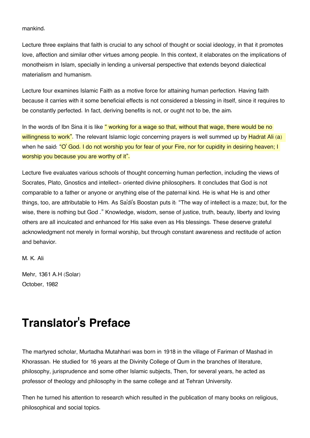mankind.

Lecture three explains that faith is crucial to any school of thought or social ideology, in that it promotes love, affection and similar other virtues among people. In this context, it elaborates on the implications of monotheism in Islam, specially in lending a universal perspective that extends beyond dialectical materialism and humanism.

Lecture four examines Islamic Faith as a motive force for attaining human perfection. Having faith because it carries with it some beneficial effects is not considered a blessing in itself, since it requires to be constantly perfected. In fact, deriving benefits is not, or ought not to be, the aim.

In the words of Ibn Sina it is like " working for a wage so that, without that wage, there would be no willingness to work". The relevant Islamic logic concerning prayers is well summed up by Hadrat Ali (a) when he said: "O' God. I do not worship you for fear of your Fire, nor for cupidity in desiring heaven; I worship you because you are worthy of it".

Lecture five evaluates various schools of thought concerning human perfection, including the views of Socrates, Plato, Gnostics and intellect- oriented divine philosophers. It concludes that God is not comparable to a father or anyone or anything else of the paternal kind. He is what He is and other things, too, are attributable to Him. As Sa'di's Boostan puts it: "The way of intellect is a maze; but, for the wise, there is nothing but God ." Knowledge, wisdom, sense of justice, truth, beauty, liberty and loving others are all inculcated and enhanced for His sake even as His blessings. These deserve grateful acknowledgment not merely in formal worship, but through constant awareness and rectitude of action and behavior.

M. K. Ali

Mehr, 1361 A.H (Solar) October, 1982

# **Translator's Preface**

The martyred scholar, Murtadha Mutahhari was born in 1918 in the village of Fariman of Mashad in Khorassan. He studied for 16 years at the Divinity College of Qum in the branches of literature, philosophy, jurisprudence and some other Islamic subjects, Then, for several years, he acted as professor of theology and philosophy in the same college and at Tehran University.

Then he turned his attention to research which resulted in the publication of many books on religious, philosophical and social topics.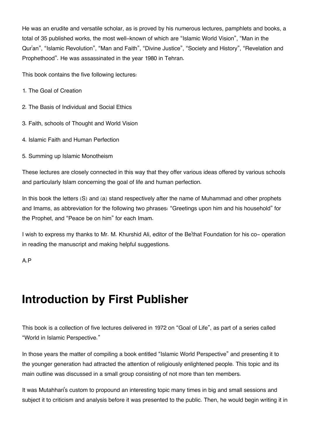He was an erudite and versatile scholar, as is proved by his numerous lectures, pamphlets and books, a total of 35 published works, the most well-known of which are "Islamic World Vision", "Man in the Qur'an", "Islamic Revolution", "Man and Faith", "Divine Justice", "Society and History", "Revelation and Prophethood". He was assassinated in the year 1980 in Tehran.

This book contains the five following lectures:

- 1. The Goal of Creation
- 2. The Basis of Individual and Social Ethics
- 3. Faith, schools of Thought and World Vision
- 4. Islamic Faith and Human Perfection
- 5. Summing up Islamic Monotheism

These lectures are closely connected in this way that they offer various ideas offered by various schools and particularly Islam concerning the goal of life and human perfection.

In this book the letters (S) and (a) stand respectively after the name of Muhammad and other prophets and Imams, as abbreviation for the following two phrases: "Greetings upon him and his household" for the Prophet, and "Peace be on him" for each Imam.

I wish to express my thanks to Mr. M. Khurshid Ali, editor of the Be'that Foundation for his co- operation in reading the manuscript and making helpful suggestions.

A.P

# **Introduction by First Publisher**

This book is a collection of five lectures delivered in 1972 on "Goal of Life", as part of a series called "World in Islamic Perspective."

In those years the matter of compiling a book entitled "Islamic World Perspective" and presenting it to the younger generation had attracted the attention of religiously enlightened people. This topic and its main outline was discussed in a small group consisting of not more than ten members.

It was Mutahhari's custom to propound an interesting topic many times in big and small sessions and subject it to criticism and analysis before it was presented to the public. Then, he would begin writing it in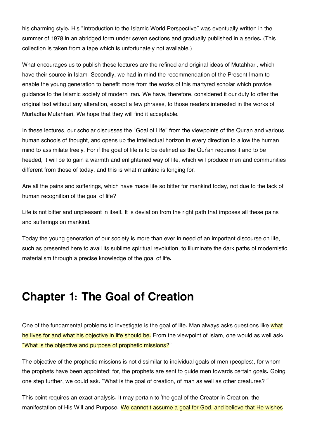his charming style. His "Introduction to the Islamic World Perspective" was eventually written in the summer of 1978 in an abridged form under seven sections and gradually published in a series. (This collection is taken from a tape which is unfortunately not available.)

What encourages us to publish these lectures are the refined and original ideas of Mutahhari, which have their source in Islam. Secondly, we had in mind the recommendation of the Present Imam to enable the young generation to benefit more from the works of this martyred scholar which provide guidance to the Islamic society of modern Iran. We have, therefore, considered it our duty to offer the original text without any alteration, except a few phrases, to those readers interested in the works of Murtadha Mutahhari, We hope that they will find it acceptable.

In these lectures, our scholar discusses the "Goal of Life" from the viewpoints of the Qur'an and various human schools of thought, and opens up the intellectual horizon in every direction to allow the human mind to assimilate freely. For if the goal of life is to be defined as the Qur'an requires it and to be heeded, it will be to gain a warmth and enlightened way of life, which will produce men and communities different from those of today, and this is what mankind is longing for.

Are all the pains and sufferings, which have made life so bitter for mankind today, not due to the lack of human recognition of the goal of life?

Life is not bitter and unpleasant in itself. It is deviation from the right path that imposes all these pains and sufferings on mankind.

Today the young generation of our society is more than ever in need of an important discourse on life, such as presented here to avail its sublime spiritual revolution, to illuminate the dark paths of modernistic materialism through a precise knowledge of the goal of life.

## **Chapter 1: The Goal of Creation**

One of the fundamental problems to investigate is the goal of life. Man always asks questions like what he lives for and what his objective in life should be. From the viewpoint of Islam, one would as well ask: "What is the objective and purpose of prophetic missions?"

The objective of the prophetic missions is not dissimilar to individual goals of men (peoples), for whom the prophets have been appointed; for, the prophets are sent to guide men towards certain goals. Going one step further, we could ask: "What is the goal of creation, of man as well as other creatures? "

This point requires an exact analysis. It may pertain to 'the goal of the Creator in Creation, the manifestation of His Will and Purpose. We cannot t assume a goal for God, and believe that He wishes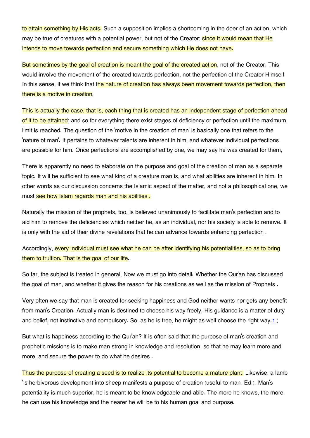to attain something by His acts. Such a supposition implies a shortcoming in the doer of an action, which may be true of creatures with a potential power, but not of the Creator; since it would mean that He intends to move towards perfection and secure something which He does not have.

But sometimes by the goal of creation is meant the goal of the created action, not of the Creator. This would involve the movement of the created towards perfection, not the perfection of the Creator Himself. In this sense, if we think that the nature of creation has always been movement towards perfection, then there is a motive in creation.

This is actually the case, that is, each thing that is created has an independent stage of perfection ahead of it to be attained; and so for everything there exist stages of deficiency or perfection until the maximum limit is reached. The question of the 'motive in the creation of man' is basically one that refers to the 'nature of man'. It pertains to whatever talents are inherent in him, and whatever individual perfections are possible for him. Once perfections are accomplished by one, we may say he was created for them,

There is apparently no need to elaborate on the purpose and goal of the creation of man as a separate topic. It will be sufficient to see what kind of a creature man is, and what abilities are inherent in him. In other words as our discussion concerns the Islamic aspect of the matter, and not a philosophical one, we must see how Islam regards man and his abilities.

Naturally the mission of the prophets, too, is believed unanimously to facilitate man's perfection and to aid him to remove the deficiencies which neither he, as an individual, nor his society is able to remove. It is only with the aid of their divine revelations that he can advance towards enhancing perfection .

Accordingly, every individual must see what he can be after identifying his potentialities, so as to bring them to fruition. That is the goal of our life.

So far, the subject is treated in general, Now we must go into detail: Whether the Qur'an has discussed the goal of man, and whether it gives the reason for his creations as well as the mission of Prophets .

<span id="page-6-0"></span>Very often we say that man is created for seeking happiness and God neither wants nor gets any benefit from man's Creation. Actually man is destined to choose his way freely, His guidance is a matter of duty and belief, not instinctive and compulsory. So, as he is free, he might as well choose the right way.[1](#page-11-0) (

But what is happiness according to the Qur'an? It is often said that the purpose of man's creation and prophetic missions is to make man strong in knowledge and resolution, so that he may learn more and more, and secure the power to do what he desires .

Thus the purpose of creating a seed is to realize its potential to become a mature plant. Likewise, a lamb ' s herbivorous development into sheep manifests a purpose of creation (useful to man. Ed.). Man's potentiality is much superior, he is meant to be knowledgeable and able. The more he knows, the more he can use his knowledge and the nearer he will be to his human goal and purpose.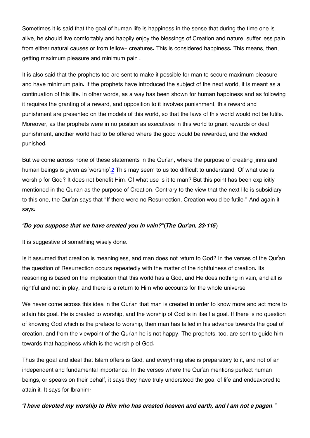Sometimes it is said that the goal of human life is happiness in the sense that during the time one is alive, he should live comfortably and happily enjoy the blessings of Creation and nature, suffer less pain from either natural causes or from fellow- creatures. This is considered happiness. This means, then, getting maximum pleasure and minimum pain .

It is also said that the prophets too are sent to make it possible for man to secure maximum pleasure and have minimum pain. If the prophets have introduced the subject of the next world, it is meant as a continuation of this life. In other words, as a way has been shown for human happiness and as following it requires the granting of a reward, and opposition to it involves punishment, this reward and punishment are presented on the models of this world, so that the laws of this world would not be futile. Moreover, as the prophets were in no position as executives in this world to grant rewards or deal punishment, another world had to be offered where the good would be rewarded, and the wicked punished.

<span id="page-7-0"></span>But we come across none of these statements in the Qur'an, where the purpose of creating jinns and human beings is given as 'worship'.[2](#page-11-1) This may seem to us too difficult to understand. Of what use is worship for God? It does not benefit Him. Of what use is it to man? But this point has been explicitly mentioned in the Qur'an as the purpose of Creation. Contrary to the view that the next life is subsidiary to this one, the Qur'an says that "If there were no Resurrection, Creation would be futile." And again it says:

#### *"Do you suppose that we have created you in vain?"(The Qur'an, 23:115)*

It is suggestive of something wisely done.

Is it assumed that creation is meaningless, and man does not return to God? In the verses of the Qur'an the question of Resurrection occurs repeatedly with the matter of the rightfulness of creation. Its reasoning is based on the implication that this world has a God, and He does nothing in vain, and all is rightful and not in play, and there is a return to Him who accounts for the whole universe.

We never come across this idea in the Qur'an that man is created in order to know more and act more to attain his goal. He is created to worship, and the worship of God is in itself a goal. If there is no question of knowing God which is the preface to worship, then man has failed in his advance towards the goal of creation, and from the viewpoint of the Qur'an he is not happy. The prophets, too, are sent to guide him towards that happiness which is the worship of God.

Thus the goal and ideal that Islam offers is God, and everything else is preparatory to it, and not of an independent and fundamental importance. In the verses where the Qur'an mentions perfect human beings, or speaks on their behalf, it says they have truly understood the goal of life and endeavored to attain it. It says for Ibrahim:

*"I have devoted my worship to Him who has created heaven and earth, and I am not a pagan."*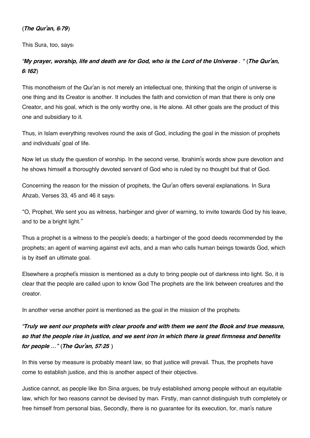#### *(The Qur'an, 6:79)*

This Sura, too, says:

#### *"My prayer, worship, life and death are for God, who is the Lord of the Universe . " (The Qur'an, 6:162)*

This monotheism of the Qur'an is not merely an intellectual one, thinking that the origin of universe is one thing and its Creator is another. It includes the faith and conviction of man that there is only one Creator, and his goal, which is the only worthy one, is He alone. All other goals are the product of this one and subsidiary to it.

Thus, in Islam everything revolves round the axis of God, including the goal in the mission of prophets and individuals' goal of life.

Now let us study the question of worship. In the second verse, Ibrahim's words show pure devotion and he shows himself a thoroughly devoted servant of God who is ruled by no thought but that of God.

Concerning the reason for the mission of prophets, the Qur'an offers several explanations. In Sura Ahzab, Verses 33, 45 and 46 it says:

"O, Prophet, We sent you as witness, harbinger and giver of warning, to invite towards God by his leave, and to be a bright light."

Thus a prophet is a witness to the people's deeds; a harbinger of the good deeds recommended by the prophets; an agent of warning against evil acts, and a man who calls human beings towards God, which is by itself an ultimate goal.

Elsewhere a prophet's mission is mentioned as a duty to bring people out of darkness into light. So, it is clear that the people are called upon to know God The prophets are the link between creatures and the creator.

In another verse another point is mentioned as the goal in the mission of the prophets:

#### *"Truly we sent our prophets with clear proofs and with them we sent the Book and true measure, so that the people rise in justice, and we sent iron in which there is great firmness and benefits for people ..." (The Qur'an, 57:25 )*

In this verse by measure is probably meant law, so that justice will prevail. Thus, the prophets have come to establish justice, and this is another aspect of their objective.

Justice cannot, as people like Ibn Sina argues, be truly established among people without an equitable law, which for two reasons cannot be devised by man. Firstly, man cannot distinguish truth completely or free himself from personal bias, Secondly, there is no guarantee for its execution, for, man's nature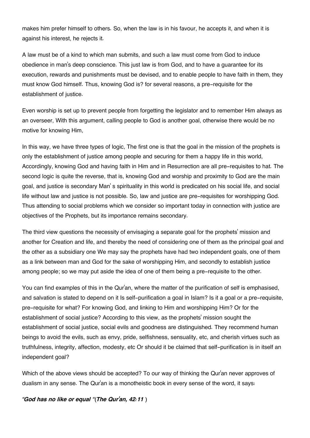makes him prefer himself to others. So, when the law is in his favour, he accepts it, and when it is against his interest, he rejects it.

A law must be of a kind to which man submits, and such a law must come from God to induce obedience in man's deep conscience. This just law is from God, and to have a guarantee for its execution, rewards and punishments must be devised, and to enable people to have faith in them, they must know God himself. Thus, knowing God is? for several reasons, a pre-requisite for the establishment of justice.

Even worship is set up to prevent people from forgetting the legislator and to remember Him always as an overseer, With this argument, calling people to God is another goal, otherwise there would be no motive for knowing Him,

In this way, we have three types of logic, The first one is that the goal in the mission of the prophets is only the establishment of justice among people and securing for them a happy life in this world, Accordingly, knowing God and having faith in Him and in Resurrection are all pre-requisites to hat. The second logic is quite the reverse, that is, knowing God and worship and proximity to God are the main goal, and justice is secondary Man' s spirituality in this world is predicated on his social life, and social life without law and justice is not possible. So, law and justice are pre-requisites for worshipping God. Thus attending to social problems which we consider so important today in connection with justice are objectives of the Prophets, but its importance remains secondary.

The third view questions the necessity of envisaging a separate goal for the prophets' mission and another for Creation and life, and thereby the need of considering one of them as the principal goal and the other as a subsidiary one We may say the prophets have had two independent goals, one of them as a link between man and God for the sake of worshipping Him, and secondly to establish justice among people; so we may put aside the idea of one of them being a pre-requisite to the other.

You can find examples of this in the Qur'an, where the matter of the purification of self is emphasised, and salvation is stated to depend on it Is self-purification a goal in Islam? Is it a goal or a pre-requisite, pre-requisite for what? For knowing God, and linking to Him and worshipping Him? Or for the establishment of social justice? According to this view, as the prophets' mission sought the establishment of social justice, social evils and goodness are distinguished. They recommend human beings to avoid the evils, such as envy, pride, selfishness, sensuality, etc, and cherish virtues such as truthfulness, integrity, affection, modesty, etc Or should it be claimed that self-purification is in itself an independent goal?

Which of the above views should be accepted? To our way of thinking the Qur'an never approves of dualism in any sense. The Qur'an is a monotheistic book in every sense of the word, it says:

*"God has no like or equal "(The Qur'an, 42:11 )*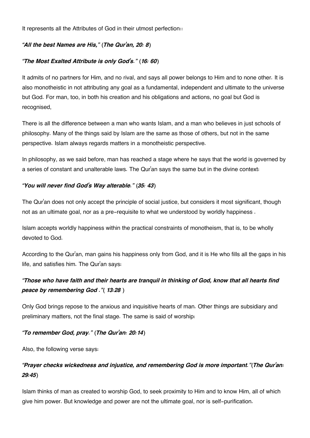It represents all the Attributes of God in their utmost perfection::

#### *"All the best Names are His," (The Qur'an, 20: 8)*

#### *"The Most Exalted Attribute is only God's." (16: 60)*

It admits of no partners for Him, and no rival, and says all power belongs to Him and to none other. It is also monotheistic in not attributing any goal as a fundamental, independent and ultimate to the universe but God. For man, too, in both his creation and his obligations and actions, no goal but God is recognised,

There is all the difference between a man who wants Islam, and a man who believes in just schools of philosophy. Many of the things said by Islam are the same as those of others, but not in the same perspective. Islam always regards matters in a monotheistic perspective.

In philosophy, as we said before, man has reached a stage where he says that the world is governed by a series of constant and unalterable laws. The Qur'an says the same but in the divine context:

#### *"You will never find God's Way alterable." (35: 43)*

The Qur'an does not only accept the principle of social justice, but considers it most significant, though not as an ultimate goal, nor as a pre-requisite to what we understood by worldly happiness .

Islam accepts worldly happiness within the practical constraints of monotheism, that is, to be wholly devoted to God.

According to the Qur'an, man gains his happiness only from God, and it is He who fills all the gaps in his life, and satisfies him. The Qur'an says:

#### *"Those who have faith and their hearts are tranquil in thinking of God, know that all hearts find peace by remembering God ."( 13:28 )*

Only God brings repose to the anxious and inquisitive hearts of man. Other things are subsidiary and preliminary matters, not the final stage. The same is said of worship:

#### *"To remember God, pray." (The Qur'an: 20:14)*

Also, the following verse says:

#### *"Prayer checks wickedness and injustice, and remembering God is more important."(The Qur'an: 29:45)*

Islam thinks of man as created to worship God, to seek proximity to Him and to know Him, all of which give him power. But knowledge and power are not the ultimate goal, nor is self-purification.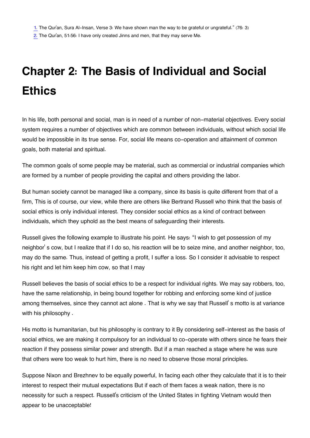<span id="page-11-1"></span><span id="page-11-0"></span>[2.](#page-7-0) The Qur'an, 51:56: I have only created Jinns and men, that they may serve Me.

# **Chapter 2: The Basis of Individual and Social Ethics**

In his life, both personal and social, man is in need of a number of non-material objectives. Every social system requires a number of objectives which are common between individuals, without which social life would be impossible in its true sense. For, social life means co-operation and attainment of common goals, both material and spiritual.

The common goals of some people may be material, such as commercial or industrial companies which are formed by a number of people providing the capital and others providing the labor.

But human society cannot be managed like a company, since its basis is quite different from that of a firm, This is of course, our view, while there are others like Bertrand Russell who think that the basis of social ethics is only individual interest. They consider social ethics as a kind of contract between individuals, which they uphold as the best means of safeguarding their interests.

Russell gives the following example to illustrate his point. He says: "I wish to get possession of my neighbor' s cow, but I realize that if I do so, his reaction will be to seize mine, and another neighbor, too, may do the same. Thus, instead of getting a profit, I suffer a loss. So I consider it advisable to respect his right and let him keep him cow, so that I may

Russell believes the basis of social ethics to be a respect for individual rights. We may say robbers, too, have the same relationship, in being bound together for robbing and enforcing some kind of justice among themselves, since they cannot act alone . That is why we say that Russell' s motto is at variance with his philosophy .

His motto is humanitarian, but his philosophy is contrary to it By considering self-interest as the basis of social ethics, we are making it compulsory for an individual to co-operate with others since he fears their reaction if they possess similar power and strength. But if a man reached a stage where he was sure that others were too weak to hurt him, there is no need to observe those moral principles.

Suppose Nixon and Brezhnev to be equally powerful, In facing each other they calculate that it is to their interest to respect their mutual expectations But if each of them faces a weak nation, there is no necessity for such a respect. Russell's criticism of the United States in fighting Vietnam would then appear to be unacceptable!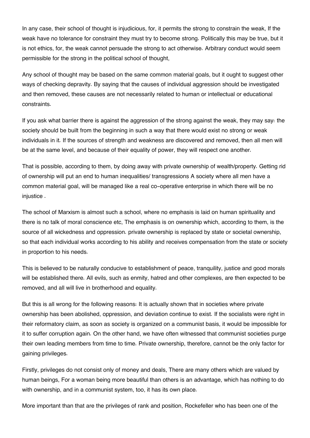In any case, their school of thought is injudicious, for, it permits the strong to constrain the weak, If the weak have no tolerance for constraint they must try to become strong. Politically this may be true, but it is not ethics, for, the weak cannot persuade the strong to act otherwise. Arbitrary conduct would seem permissible for the strong in the political school of thought,

Any school of thought may be based on the same common material goals, but it ought to suggest other ways of checking depravity. By saying that the causes of individual aggression should be investigated and then removed, these causes are not necessarily related to human or intellectual or educational constraints.

If you ask what barrier there is against the aggression of the strong against the weak, they may say: the society should be built from the beginning in such a way that there would exist no strong or weak individuals in it. If the sources of strength and weakness are discovered and removed, then all men will be at the same level, and because of their equality of power, they will respect one another.

That is possible, according to them, by doing away with private ownership of wealth/property. Getting rid of ownership will put an end to human inequalities/ transgressions A society where all men have a common material goal, will be managed like a real co-operative enterprise in which there will be no injustice .

The school of Marxism is almost such a school, where no emphasis is laid on human spirituality and there is no talk of moral conscience etc, The emphasis is on ownership which, according to them, is the source of all wickedness and oppression. private ownership is replaced by state or societal ownership, so that each individual works according to his ability and receives compensation from the state or society in proportion to his needs.

This is believed to be naturally conducive to establishment of peace, tranquility, justice and good morals will be established there. All evils, such as enmity, hatred and other complexes, are then expected to be removed, and all will live in brotherhood and equality.

But this is all wrong for the following reasons: It is actually shown that in societies where private ownership has been abolished, oppression, and deviation continue to exist. If the socialists were right in their reformatory claim, as soon as society is organized on a communist basis, it would be impossible for it to suffer corruption again. On the other hand, we have often witnessed that communist societies purge their own leading members from time to time. Private ownership, therefore, cannot be the only factor for gaining privileges.

Firstly, privileges do not consist only of money and deals, There are many others which are valued by human beings, For a woman being more beautiful than others is an advantage, which has nothing to do with ownership, and in a communist system, too, it has its own place.

More important than that are the privileges of rank and position, Rockefeller who has been one of the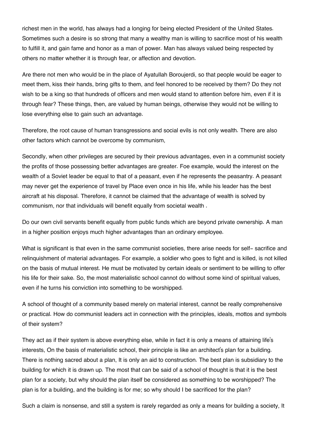richest men in the world, has always had a longing for being elected President of the United States. Sometimes such a desire is so strong that many a wealthy man is willing to sacrifice most of his wealth to fulfill it, and gain fame and honor as a man of power. Man has always valued being respected by others no matter whether it is through fear, or affection and devotion.

Are there not men who would be in the place of Ayatullah Boroujerdi, so that people would be eager to meet them, kiss their hands, bring gifts to them, and feel honored to be received by them? Do they not wish to be a king so that hundreds of officers and men would stand to attention before him, even if it is through fear? These things, then, are valued by human beings, otherwise they would not be willing to lose everything else to gain such an advantage.

Therefore, the root cause of human transgressions and social evils is not only wealth. There are also other factors which cannot be overcome by communism,

Secondly, when other privileges are secured by their previous advantages, even in a communist society the profits of those possessing better advantages are greater. Foe example, would the interest on the wealth of a Soviet leader be equal to that of a peasant, even if he represents the peasantry. A peasant may never get the experience of travel by Place even once in his life, while his leader has the best aircraft at his disposal. Therefore, it cannot be claimed that the advantage of wealth is solved by communism, nor that individuals will benefit equally from societal wealth .

Do our own civil servants benefit equally from public funds which are beyond private ownership. A man in a higher position enjoys much higher advantages than an ordinary employee.

What is significant is that even in the same communist societies, there arise needs for self- sacrifice and relinquishment of material advantages. For example, a soldier who goes to fight and is killed, is not killed on the basis of mutual interest. He must be motivated by certain ideals or sentiment to be willing to offer his life for their sake. So, the most materialistic school cannot do without some kind of spiritual values, even if he turns his conviction into something to be worshipped.

A school of thought of a community based merely on material interest, cannot be really comprehensive or practical. How do communist leaders act in connection with the principles, ideals, mottos and symbols of their system?

They act as if their system is above everything else, while in fact it is only a means of attaining life's interests, On the basis of materialistic school, their principle is like an architect's plan for a building. There is nothing sacred about a plan, It is only an aid to construction. The best plan is subsidiary to the building for which it is drawn up. The most that can be said of a school of thought is that it is the best plan for a society, but why should the plan itself be considered as something to be worshipped? The plan is for a building, and the building is for me; so why should I be sacrificed for the plan?

Such a claim is nonsense, and still a system is rarely regarded as only a means for building a society, It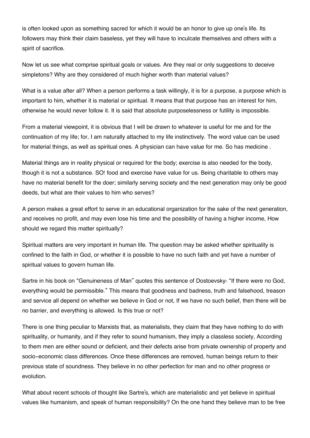is often looked upon as something sacred for which it would be an honor to give up one's life. Its followers may think their claim baseless, yet they will have to inculcate themselves and others with a spirit of sacrifice.

Now let us see what comprise spiritual goals or values. Are they real or only suggestions to deceive simpletons? Why are they considered of much higher worth than material values?

What is a value after all? When a person performs a task willingly, it is for a purpose, a purpose which is important to him, whether it is material or spiritual. It means that that purpose has an interest for him, otherwise he would never follow it. It is said that absolute purposelessness or futility is impossible.

From a material viewpoint, it is obvious that I will be drawn to whatever is useful for me and for the continuation of my life; for, I am naturally attached to my life instinctively. The word value can be used for material things, as well as spiritual ones. A physician can have value for me. So has medicine .

Material things are in reality physical or required for the body; exercise is also needed for the body, though it is not a substance. SO! food and exercise have value for us. Being charitable to others may have no material benefit for the doer; similarly serving society and the next generation may only be good deeds, but what are their values to him who serves?

A person makes a great effort to serve in an educational organization for the sake of the next generation, and receives no profit, and may even lose his time and the possibility of having a higher income, How should we regard this matter spiritually?

Spiritual matters are very important in human life. The question may be asked whether spirituality is confined to the faith in God, or whether it is possible to have no such faith and yet have a number of spiritual values to govern human life.

Sartre in his book on "Genuineness of Man" quotes this sentence of Dostoevsky: "If there were no God, everything would be permissible." This means that goodness and badness, truth and falsehood, treason and service all depend on whether we believe in God or not, If we have no such belief, then there will be no barrier, and everything is allowed. Is this true or not?

There is one thing peculiar to Marxists that, as materialists, they claim that they have nothing to do with spirituality, or humanity, and if they refer to sound humanism, they imply a classless society, According to them men are either sound or deficient, and their defects arise from private ownership of property and socio-economic class differences. Once these differences are removed, human beings return to their previous state of soundness. They believe in no other perfection for man and no other progress or evolution.

What about recent schools of thought like Sartre's, which are materialistic and yet believe in spiritual values like humanism, and speak of human responsibility? On the one hand they believe man to be free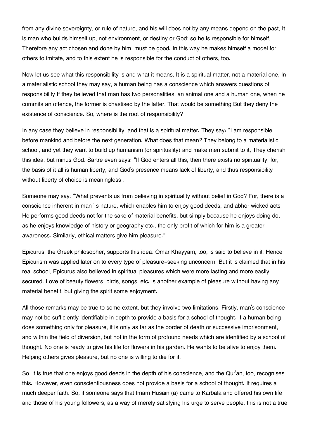from any divine sovereignty, or rule of nature, and his will does not by any means depend on the past, It is man who builds himself up, not environment, or destiny or God; so he is responsible for himself, Therefore any act chosen and done by him, must be good. In this way he makes himself a model for others to imitate, and to this extent he is responsible for the conduct of others, too.

Now let us see what this responsibility is and what it means, It is a spiritual matter, not a material one, In a materialistic school they may say, a human being has a conscience which answers questions of responsibility If they believed that man has two personalities, an animal one and a human one, when he commits an offence, the former is chastised by the latter, That would be something But they deny the existence of conscience. So, where is the root of responsibility?

In any case they believe in responsibility, and that is a spiritual matter. They say: "I am responsible before mankind and before the next generation. What does that mean? They belong to a materialistic school, and yet they want to build up humanism (or spirituality) and make men submit to it, They cherish this idea, but minus God. Sartre even says: "If God enters all this, then there exists no spirituality, for, the basis of it all is human liberty, and God's presence means lack of liberty, and thus responsibility without liberty of choice is meaningless.

Someone may say: "What prevents us from believing in spirituality without belief in God? For, there is a conscience inherent in man ' s nature, which enables him to enjoy good deeds, and abhor wicked acts. He performs good deeds not for the sake of material benefits, but simply because he enjoys doing do, as he enjoys knowledge of history or geography etc., the only profit of which for him is a greater awareness. Similarly, ethical matters give him pleasure."

Epicurus, the Greek philosopher, supports this idea. Omar Khayyam, too, is said to believe in it. Hence Epicurism was applied later on to every type of pleasure-seeking unconcern. But it is claimed that in his real school, Epicurus also believed in spiritual pleasures which were more lasting and more easily secured. Love of beauty flowers, birds, songs, etc. is another example of pleasure without having any material benefit, but giving the spirit some enjoyment.

All those remarks may be true to some extent, but they involve two limitations. Firstly, man's conscience may not be sufficiently identifiable in depth to provide a basis for a school of thought. If a human being does something only for pleasure, it is only as far as the border of death or successive imprisonment, and within the field of diversion, but not in the form of profound needs which are identified by a school of thought. No one is ready to give his life for flowers in his garden. He wants to be alive to enjoy them. Helping others gives pleasure, but no one is willing to die for it.

So, it is true that one enjoys good deeds in the depth of his conscience, and the Qur'an, too, recognises this. However, even conscientiousness does not provide a basis for a school of thought. It requires a much deeper faith. So, if someone says that Imam Husain (a) came to Karbala and offered his own life and those of his young followers, as a way of merely satisfying his urge to serve people, this is not a true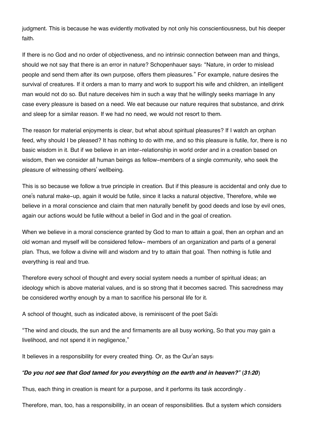judgment. This is because he was evidently motivated by not only his conscientiousness, but his deeper faith.

If there is no God and no order of objectiveness, and no intrinsic connection between man and things, should we not say that there is an error in nature? Schopenhauer says: "Nature, in order to mislead people and send them after its own purpose, offers them pleasures." For example, nature desires the survival of creatures. If it orders a man to marry and work to support his wife and children, an intelligent man would not do so. But nature deceives him in such a way that he willingly seeks marriage In any case every pleasure is based on a need. We eat because our nature requires that substance, and drink and sleep for a similar reason. If we had no need, we would not resort to them.

The reason for material enjoyments is clear, but what about spiritual pleasures? If I watch an orphan feed, why should I be pleased? It has nothing to do with me, and so this pleasure is futile, for, there is no basic wisdom in it. But if we believe in an inter-relationship in world order and in a creation based on wisdom, then we consider all human beings as fellow-members of a single community, who seek the pleasure of witnessing others' wellbeing.

This is so because we follow a true principle in creation. But if this pleasure is accidental and only due to one's natural make-up, again it would be futile, since it lacks a natural objective, Therefore, while we believe in a moral conscience and claim that men naturally benefit by good deeds and lose by evil ones, again our actions would be futile without a belief in God and in the goal of creation.

When we believe in a moral conscience granted by God to man to attain a goal, then an orphan and an old woman and myself will be considered fellow- members of an organization and parts of a general plan. Thus, we follow a divine will and wisdom and try to attain that goal. Then nothing is futile and everything is real and true.

Therefore every school of thought and every social system needs a number of spiritual ideas; an ideology which is above material values, and is so strong that it becomes sacred. This sacredness may be considered worthy enough by a man to sacrifice his personal life for it.

A school of thought, such as indicated above, is reminiscent of the poet Sa'di:

"The wind and clouds, the sun and the and firmaments are all busy working, So that you may gain a livelihood, and not spend it in negligence."

It believes in a responsibility for every created thing. Or, as the Qur'an says:

#### *"Do you not see that God tamed for you everything on the earth and in heaven?" (31:20)*

Thus, each thing in creation is meant for a purpose, and it performs its task accordingly .

Therefore, man, too, has a responsibility, in an ocean of responsibilities. But a system which considers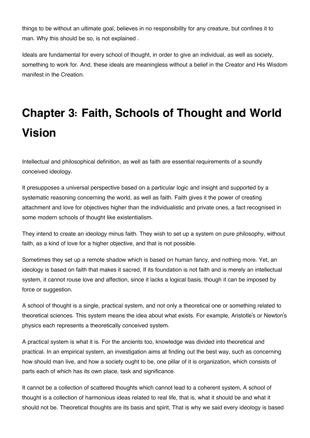things to be without an ultimate goal, believes in no responsibility for any creature, but confines it to man. Why this should be so, is not explained .

Ideals are fundamental for every school of thought, in order to give an individual, as well as society, something to work for. And, these ideals are meaningless without a belief in the Creator and His Wisdom manifest in the Creation.

# **Chapter 3: Faith, Schools of Thought and World Vision**

Intellectual and philosophical definition, as well as faith are essential requirements of a soundly conceived ideology.

It presupposes a universal perspective based on a particular logic and insight and supported by a systematic reasoning concerning the world, as well as faith. Faith gives it the power of creating attachment and love for objectives higher than the individualistic and private ones, a fact recognised in some modern schools of thought like existentialism.

They intend to create an ideology minus faith. They wish to set up a system on pure philosophy, without faith, as a kind of love for a higher objective, and that is not possible.

Sometimes they set up a remote shadow which is based on human fancy, and nothing more. Yet, an ideology is based on faith that makes it sacred, If its foundation is not faith and is merely an intellectual system, it cannot rouse love and affection, since it lacks a logical basis, though it can be imposed by force or suggestion.

A school of thought is a single, practical system, and not only a theoretical one or something related to theoretical sciences. This system means the idea about what exists. For example, Aristotle's or Newton's physics each represents a theoretically conceived system.

A practical system is what it is. For the ancients too, knowledge was divided into theoretical and practical. In an empirical system, an investigation aims at finding out the best way, such as concerning how should man live, and how a society ought to be, one pillar of it is organization, which consists of parts each of which has its own place, task and significance.

It cannot be a collection of scattered thoughts which cannot lead to a coherent system, A school of thought is a collection of harmonious ideas related to real life, that is, what it should be and what it should not be. Theoretical thoughts are its basis and spirit, That is why we said every ideology is based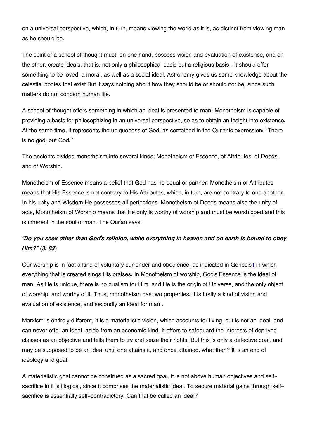on a universal perspective, which, in turn, means viewing the world as it is, as distinct from viewing man as he should be.

The spirit of a school of thought must, on one hand, possess vision and evaluation of existence, and on the other, create ideals, that is, not only a philosophical basis but a religious basis . It should offer something to be loved, a moral, as well as a social ideal, Astronomy gives us some knowledge about the celestial bodies that exist But it says nothing about how they should be or should not be, since such matters do not concern human life.

A school of thought offers something in which an ideal is presented to man. Monotheism is capable of providing a basis for philosophizing in an universal perspective, so as to obtain an insight into existence. At the same time, it represents the uniqueness of God, as contained in the Qur'anic expression: "There is no god, but God."

The ancients divided monotheism into several kinds; Monotheism of Essence, of Attributes, of Deeds, and of Worship.

Monotheism of Essence means a belief that God has no equal or partner. Monotheism of Attributes means that His Essence is not contrary to His Attributes, which, in turn, are not contrary to one another. In his unity and Wisdom He possesses all perfections. Monotheism of Deeds means also the unity of acts, Monotheism of Worship means that He only is worthy of worship and must be worshipped and this is inherent in the soul of man. The Qur'an says:

#### *"Do you seek other than God's religion, while everything in heaven and on earth is bound to obey Him?" (3: 83)*

<span id="page-18-0"></span>Our worship is in fact a kind of voluntary surrender and obedience, as indicated in Genesis[1](#page-20-0) in which everything that is created sings His praises. In Monotheism of worship, God's Essence is the ideal of man. As He is unique, there is no dualism for Him, and He is the origin of Universe, and the only object of worship, and worthy of it. Thus, monotheism has two properties: it is firstly a kind of vision and evaluation of existence, and secondly an ideal for man .

Marxism is entirely different, It is a materialistic vision, which accounts for living, but is not an ideal, and can never offer an ideal, aside from an economic kind, It offers to safeguard the interests of deprived classes as an objective and tells them to try and seize their rights. But this is only a defective goal. and may be supposed to be an ideal until one attains it, and once attained, what then? It is an end of ideology and goal.

A materialistic goal cannot be construed as a sacred goal, It is not above human objectives and selfsacrifice in it is illogical, since it comprises the materialistic ideal. To secure material gains through selfsacrifice is essentially self-contradictory, Can that be called an ideal?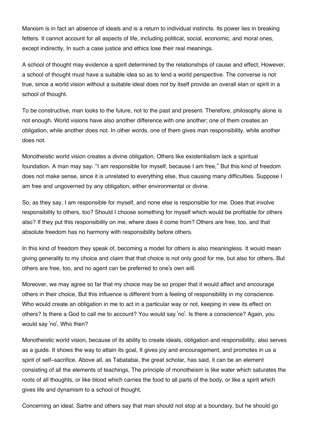Marxism is in fact an absence of ideals and is a return to individual instincts. Its power lies in breaking fetters. It cannot account for all aspects of life, including political, social, economic, and moral ones, except indirectly, In such a case justice and ethics lose their real meanings.

A school of thought may evidence a spirit determined by the relationships of cause and effect, However, a school of thought must have a suitable idea so as to lend a world perspective. The converse is not true, since a world vision without a suitable ideal does not by itself provide an overall elan or spirit in a school of thought.

To be constructive, man looks to the future, not to the past and present. Therefore, philosophy alone is not enough. World visions have also another difference with one another; one of them creates an obligation, while another does not. In other words, one of them gives man responsibility, while another does not.

Monotheistic world vision creates a divine obligation, Others like existentialism lack a spiritual foundation. A man may say: "I am responsible for myself, because I am free," But this kind of freedom does not make sense, since it is unrelated to everything else, thus causing many difficulties. Suppose I am free and ungoverned by any obligation, either environmental or divine.

So, as they say, I am responsible for myself, and none else is responsible for me. Does that involve responsibility to others, too? Should I choose something for myself which would be profitable for others also? If they put this responsibility on me, where does it come from? Others are free, too, and that absolute freedom has no harmony with responsibility before others.

In this kind of freedom they speak of, becoming a model for others is also meaningless. It would mean giving generality to my choice and claim that that choice is not only good for me, but also for others. But others are free, too, and no agent can be preferred to one's own will.

Moreover, we may agree so far that my choice may be so proper that it would affect and encourage others in their choice, But this influence is different from a feeling of responsibility in my conscience. Who would create an obligation in me to act in a particular way or not, keeping in view its effect on others? Is there a God to call me to account? You would say 'no'. Is there a conscience? Again, you would say 'no', Who then?

Monotheistic world vision, because of its ability to create ideals, obligation and responsibility, also serves as a guide. It shows the way to attain its goal, It gives joy and encouragement, and promotes in us a spirit of self-sacrifice. Above all, as Tabatabai, the great scholar, has said, it can be an element consisting of all the elements of teachings, The principle of monotheism is like water which saturates the roots of all thoughts, or like blood which carries the food to all parts of the body, or like a spirit which gives life and dynamism to a school of thought,

Concerning an ideal, Sartre and others say that man should not stop at a boundary, but he should go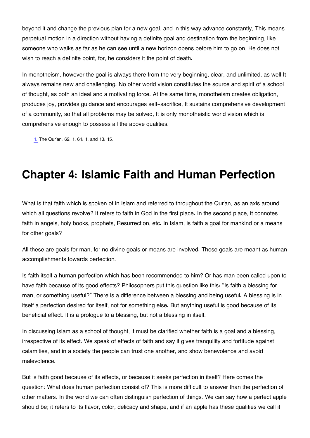beyond it and change the previous plan for a new goal, and in this way advance constantly, This means perpetual motion in a direction without having a definite goal and destination from the beginning, like someone who walks as far as he can see until a new horizon opens before him to go on, He does not wish to reach a definite point, for, he considers it the point of death.

In monotheism, however the goal is always there from the very beginning, clear, and unlimited, as well It always remains new and challenging. No other world vision constitutes the source and spirit of a school of thought, as both an ideal and a motivating force. At the same time, monotheism creates obligation, produces joy, provides guidance and encourages self-sacrifice, It sustains comprehensive development of a community, so that all problems may be solved, It is only monotheistic world vision which is comprehensive enough to possess all the above qualities.

<span id="page-20-0"></span>[1.](#page-18-0) The Qur'an: 62: 1, 61: 1, and 13: 15.

### **Chapter 4: Islamic Faith and Human Perfection**

What is that faith which is spoken of in Islam and referred to throughout the Qur'an, as an axis around which all questions revolve? It refers to faith in God in the first place. In the second place, it connotes faith in angels, holy books, prophets, Resurrection, etc. In Islam, is faith a goal for mankind or a means for other goals?

All these are goals for man, for no divine goals or means are involved. These goals are meant as human accomplishments towards perfection.

Is faith itself a human perfection which has been recommended to him? Or has man been called upon to have faith because of its good effects? Philosophers put this question like this: "Is faith a blessing for man, or something useful?" There is a difference between a blessing and being useful. A blessing is in itself a perfection desired for itself, not for something else. But anything useful is good because of its beneficial effect. It is a prologue to a blessing, but not a blessing in itself.

In discussing Islam as a school of thought, it must be clarified whether faith is a goal and a blessing, irrespective of its effect. We speak of effects of faith and say it gives tranquility and fortitude against calamities, and in a society the people can trust one another, and show benevolence and avoid malevolence.

But is faith good because of its effects, or because it seeks perfection in itself? Here comes the question: What does human perfection consist of? This is more difficult to answer than the perfection of other matters. In the world we can often distinguish perfection of things. We can say how a perfect apple should be; it refers to its flavor, color, delicacy and shape, and if an apple has these qualities we call it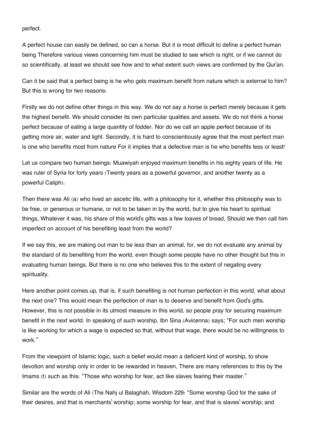perfect.

A perfect house can easily be defined, so can a horse. But it is most difficult to define a perfect human being Therefore various views concerning him must be studied to see which is right, or if we cannot do so scientifically, at least we should see how and to what extent such views are confirmed by the Qur'an.

Can it be said that a perfect being is he who gets maximum benefit from nature which is external to him? But this is wrong for two reasons:

Firstly we do not define other things in this way. We do not say a horse is perfect merely because it gets the highest benefit. We should consider its own particular qualities and assets. We do not think a horse perfect because of eating a large quantity of fodder. Nor do we call an apple perfect because of its getting more air, water and light. Secondly, it is hard to conscientiously agree that the most perfect man is one who benefits most from nature For it implies that a defective man is he who benefits less or least!

Let us compare two human beings: Muawiyah enjoyed maximum benefits in his eighty years of life. He was ruler of Syria for forty years (Twenty years as a powerful governor, and another twenty as a powerful Caliph).

Then there was Ali (a) who lived an ascetic life, with a philosophy for it, whether this philosophy was to be free, or generous or humane, or not to be taken in by the world, but to give his heart to spiritual things, Whatever it was, his share of this world's gifts was a few loaves of bread, Should we then call him imperfect on account of his benefiting least from the world?

If we say this, we are making out man to be less than an animal, for, we do not evaluate any animal by the standard of its benefiting from the world, even though some people have no other thought but this in evaluating human beings. But there is no one who believes this to the extent of negating every spirituality.

Here another point comes up, that is, if such benefiting is not human perfection in this world, what about the next one? This would mean the perfection of man is to deserve and benefit from God's gifts. However, this is not possible in its utmost measure in this world, so people pray for securing maximum benefit in the next world. In speaking of such worship, Ibn Sina (Avicenna) says; "For such men worship is like working for which a wage is expected so that, without that wage, there would be no willingness to work."

From the viewpoint of Islamic logic, such a belief would mean a deficient kind of worship, to show devotion and worship only in order to be rewarded in heaven, There are many references to this by the Imams (t) such as this: "Those who worship for fear, act like slaves fearing their master."

Similar are the words of Ali (The Nahj ul Balaghah, Wisdom 229: "Some worship God for the sake of their desires, and that is merchants' worship; some worship for fear, and that is slaves' worship; and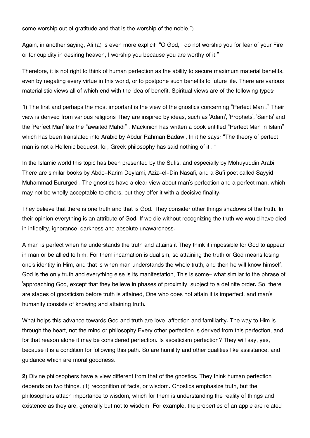some worship out of gratitude and that is the worship of the noble,")

Again, in another saying, Ali (a) is even more explicit: "O God, I do not worship you for fear of your Fire or for cupidity in desiring heaven; I worship you because you are worthy of it."

Therefore, it is not right to think of human perfection as the ability to secure maximum material benefits, even by negating every virtue in this world, or to postpone such benefits to future life. There are various materialistic views all of which end with the idea of benefit, Spiritual views are of the following types:

**1)** The first and perhaps the most important is the view of the gnostics concerning "Perfect Man ." Their view is derived from various religions They are inspired by ideas, such as 'Adam', 'Prophets', 'Saints' and the 'Perfect Man' like the "awaited Mahdi" . Mackinion has written a book entitled "Perfect Man in Islam" which has been translated into Arabic by Abdur Rahman Badawi, In it he says: "The theory of perfect man is not a Hellenic bequest, for, Greek philosophy has said nothing of it. "

In the Islamic world this topic has been presented by the Sufis, and especially by Mohuyuddin Arabi. There are similar books by Abdo-Karim Deylami, Aziz-el-Din Nasafi, and a Sufi poet called Sayyid Muhammad Bururgedi. The gnostics have a clear view about man's perfection and a perfect man, which may not be wholly acceptable to others, but they offer it with a decisive finality.

They believe that there is one truth and that is God. They consider other things shadows of the truth. In their opinion everything is an attribute of God. If we die without recognizing the truth we would have died in infidelity, ignorance, darkness and absolute unawareness.

A man is perfect when he understands the truth and attains it They think it impossible for God to appear in man or be allied to him, For them incarnation is dualism, so attaining the truth or God means losing one's identity in Him, and that is when man understands the whole truth, and then he will know himself. God is the only truth and everything else is its manifestation, This is some- what similar to the phrase of 'approaching God, except that they believe in phases of proximity, subject to a definite order. So, there are stages of gnosticism before truth is attained, One who does not attain it is imperfect, and man's humanity consists of knowing and attaining truth.

What helps this advance towards God and truth are love, affection and familiarity. The way to Him is through the heart, not the mind or philosophy Every other perfection is derived from this perfection, and for that reason alone it may be considered perfection. Is asceticism perfection? They will say, yes, because it is a condition for following this path. So are humility and other qualities like assistance, and guidance which are moral goodness.

**2)** Divine philosophers have a view different from that of the gnostics. They think human perfection depends on two things: (1) recognition of facts, or wisdom. Gnostics emphasize truth, but the philosophers attach importance to wisdom, which for them is understanding the reality of things and existence as they are, generally but not to wisdom. For example, the properties of an apple are related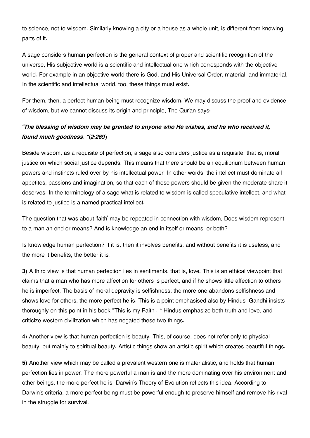to science, not to wisdom. Similarly knowing a city or a house as a whole unit, is different from knowing parts of it.

A sage considers human perfection is the general context of proper and scientific recognition of the universe, His subjective world is a scientific and intellectual one which corresponds with the objective world. For example in an objective world there is God, and His Universal Order, material, and immaterial, In the scientific and intellectual world, too, these things must exist.

For them, then, a perfect human being must recognize wisdom. We may discuss the proof and evidence of wisdom, but we cannot discuss its origin and principle, The Qur'an says:

#### *"The blessing of wisdom may be granted to anyone who He wishes, and he who received it, found much goodness. "(2:269)*

Beside wisdom, as a requisite of perfection, a sage also considers justice as a requisite, that is, moral justice on which social justice depends. This means that there should be an equilibrium between human powers and instincts ruled over by his intellectual power. In other words, the intellect must dominate all appetites, passions and imagination, so that each of these powers should be given the moderate share it deserves. In the terminology of a sage what is related to wisdom is called speculative intellect, and what is related to justice is a named practical intellect.

The question that was about 'faith' may be repeated in connection with wisdom, Does wisdom represent to a man an end or means? And is knowledge an end in itself or means, or both?

Is knowledge human perfection? If it is, then it involves benefits, and without benefits it is useless, and the more it benefits, the better it is.

**3)** A third view is that human perfection lies in sentiments, that is, love. This is an ethical viewpoint that claims that a man who has more affection for others is perfect, and if he shows little affection to others he is imperfect, The basis of moral depravity is selfishness; the more one abandons selfishness and shows love for others, the more perfect he is. This is a point emphasised also by Hindus. Gandhi insists thoroughly on this point in his book "This is my Faith . " Hindus emphasize both truth and love, and criticize western civilization which has negated these two things.

4) Another view is that human perfection is beauty. This, of course, does not refer only to physical beauty, but mainly to spiritual beauty. Artistic things show an artistic spirit which creates beautiful things.

**5)** Another view which may be called a prevalent western one is materialistic, and holds that human perfection lies in power. The more powerful a man is and the more dominating over his environment and other beings, the more perfect he is. Darwin's Theory of Evolution reflects this idea. According to Darwin's criteria, a more perfect being must be powerful enough to preserve himself and remove his rival in the struggle for survival.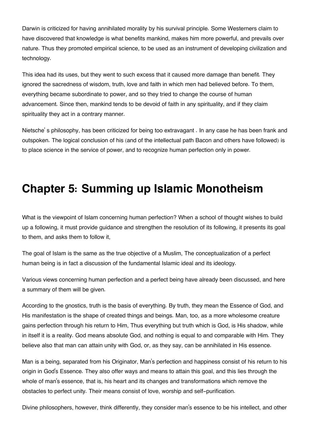Darwin is criticized for having annihilated morality by his survival principle. Some Westerners claim to have discovered that knowledge is what benefits mankind, makes him more powerful, and prevails over nature. Thus they promoted empirical science, to be used as an instrument of developing civilization and technology.

This idea had its uses, but they went to such excess that it caused more damage than benefit. They ignored the sacredness of wisdom, truth, love and faith in which men had believed before. To them, everything became subordinate to power, and so they tried to change the course of human advancement. Since then, mankind tends to be devoid of faith in any spirituality, and if they claim spirituality they act in a contrary manner.

Nietsche' s philosophy, has been criticized for being too extravagant . In any case he has been frank and outspoken. The logical conclusion of his (and of the intellectual path Bacon and others have followed) is to place science in the service of power, and to recognize human perfection only in power.

## **Chapter 5: Summing up Islamic Monotheism**

What is the viewpoint of Islam concerning human perfection? When a school of thought wishes to build up a following, it must provide guidance and strengthen the resolution of its following, it presents its goal to them, and asks them to follow it,

The goal of Islam is the same as the true objective of a Muslim, The conceptualization of a perfect human being is in fact a discussion of the fundamental Islamic ideal and its ideology.

Various views concerning human perfection and a perfect being have already been discussed, and here a summary of them will be given.

According to the gnostics, truth is the basis of everything. By truth, they mean the Essence of God, and His manifestation is the shape of created things and beings. Man, too, as a more wholesome creature gains perfection through his return to Him, Thus everything but truth which is God, is His shadow, while in itself it is a reality. God means absolute God, and nothing is equal to and comparable with Him. They believe also that man can attain unity with God, or, as they say, can be annihilated in His essence.

Man is a being, separated from his Originator, Man's perfection and happiness consist of his return to his origin in God's Essence. They also offer ways and means to attain this goal, and this lies through the whole of man's essence, that is, his heart and its changes and transformations which remove the obstacles to perfect unity. Their means consist of love, worship and self-purification.

Divine philosophers, however, think differently, they consider man's essence to be his intellect, and other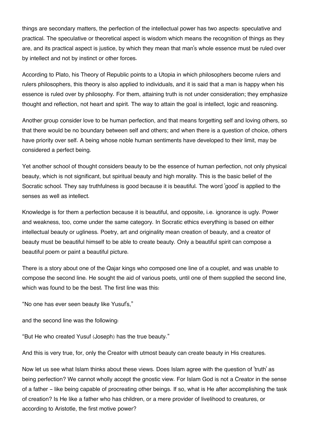things are secondary matters, the perfection of the intellectual power has two aspects: speculative and practical. The speculative or theoretical aspect is wisdom which means the recognition of things as they are, and its practical aspect is justice, by which they mean that man's whole essence must be ruled over by intellect and not by instinct or other forces.

According to Plato, his Theory of Republic points to a Utopia in which philosophers become rulers and rulers philosophers, this theory is also applied to individuals, and it is said that a man is happy when his essence is ruled over by philosophy. For them, attaining truth is not under consideration; they emphasize thought and reflection, not heart and spirit. The way to attain the goal is intellect, logic and reasoning.

Another group consider love to be human perfection, and that means forgetting self and loving others, so that there would be no boundary between self and others; and when there is a question of choice, others have priority over self. A being whose noble human sentiments have developed to their limit, may be considered a perfect being.

Yet another school of thought considers beauty to be the essence of human perfection, not only physical beauty, which is not significant, but spiritual beauty and high morality. This is the basic belief of the Socratic school. They say truthfulness is good because it is beautiful. The word 'good' is applied to the senses as well as intellect.

Knowledge is for them a perfection because it is beautiful, and opposite, i.e. ignorance is ugly. Power and weakness, too, come under the same category. In Socratic ethics everything is based on either intellectual beauty or ugliness. Poetry, art and originality mean creation of beauty, and a creator of beauty must be beautiful himself to be able to create beauty. Only a beautiful spirit can compose a beautiful poem or paint a beautiful picture.

There is a story about one of the Qajar kings who composed one line of a couplet, and was unable to compose the second line. He sought the aid of various poets, until one of them supplied the second line, which was found to be the best. The first line was this:

"No one has ever seen beauty like Yusuf's,"

and the second line was the following:

"But He who created Yusuf (Joseph) has the true beauty."

And this is very true, for, only the Creator with utmost beauty can create beauty in His creatures.

Now let us see what Islam thinks about these views. Does Islam agree with the question of 'truth' as being perfection? We cannot wholly accept the gnostic view. For Islam God is not a Creator in the sense of a father - like being capable of procreating other beings. If so, what is He after accomplishing the task of creation? Is He like a father who has children, or a mere provider of livelihood to creatures, or according to Aristotle, the first motive power?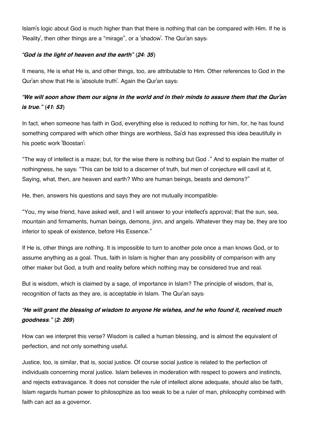Islam's logic about God is much higher than that there is nothing that can be compared with Him. If he is 'Reality', then other things are a "mirage", or a 'shadow'. The Qur'an says:

#### *"God is the light of heaven and the earth" (24: 35)*

It means, He is what He is, and other things, too, are attributable to Him. Other references to God in the Qur'an show that He is 'absolute truth'. Again the Qur'an says:

#### *"We will soon show them our signs in the world and in their minds to assure them that the Qur'an is true." (41: 53)*

In fact, when someone has faith in God, everything else is reduced to nothing for him, for, he has found something compared with which other things are worthless, Sa'di has expressed this idea beautifully in his poetic work 'Boostan':

"The way of intellect is a maze; but, for the wise there is nothing but God ." And to explain the matter of nothingness, he says: "This can be told to a discerner of truth, but men of conjecture will cavil at it, Saying, what, then, are heaven and earth? Who are human beings, beasts and demons?"

He, then, answers his questions and says they are not mutually incompatible:

"You, my wise friend, have asked well, and I will answer to your intellect's approval; that the sun, sea, mountain and firmaments, human beings, demons, jinn, and angels. Whatever they may be, they are too inferior to speak of existence, before His Essence."

If He is, other things are nothing. It is impossible to turn to another pole once a man knows God, or to assume anything as a goal. Thus, faith in Islam is higher than any possibility of comparison with any other maker but God, a truth and reality before which nothing may be considered true and real.

But is wisdom, which is claimed by a sage, of importance in Islam? The principle of wisdom, that is, recognition of facts as they are, is acceptable in Islam. The Qur'an says:

#### *"He will grant the blessing of wisdom to anyone He wishes, and he who found it, received much goodness." (2: 269)*

How can we interpret this verse? Wisdom is called a human blessing, and is almost the equivalent of perfection, and not only something useful.

Justice, too, is similar, that is, social justice. Of course social justice is related to the perfection of individuals concerning moral justice. Islam believes in moderation with respect to powers and instincts, and rejects extravagance. It does not consider the rule of intellect alone adequate, should also be faith, Islam regards human power to philosophize as too weak to be a ruler of man, philosophy combined with faith can act as a governor.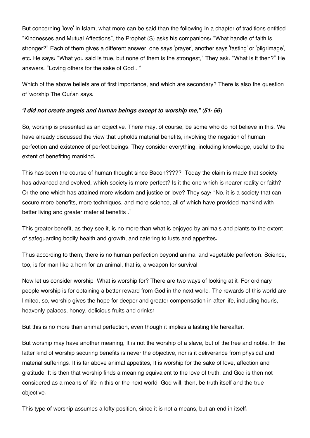But concerning 'love' in Islam, what more can be said than the following In a chapter of traditions entitled "Kindnesses and Mutual Affections", the Prophet (S) asks his companions: "What handle of faith is stronger?" Each of them gives a different answer, one says 'prayer', another says 'fasting' or 'pilgrimage', etc. He says: "What you said is true, but none of them is the strongest," They ask: "What is it then?" He answers: "Loving others for the sake of God . "

Which of the above beliefs are of first importance, and which are secondary? There is also the question of 'worship The Qur'an says:

#### *"I did not create angels and human beings except to worship me," (51: 56)*

So, worship is presented as an objective. There may, of course, be some who do not believe in this. We have already discussed the view that upholds material benefits, involving the negation of human perfection and existence of perfect beings. They consider everything, including knowledge, useful to the extent of benefiting mankind.

This has been the course of human thought since Bacon?????. Today the claim is made that society has advanced and evolved, which society is more perfect? Is it the one which is nearer reality or faith? Or the one which has attained more wisdom and justice or love? They say: "No, it is a society that can secure more benefits, more techniques, and more science, all of which have provided mankind with better living and greater material benefits ."

This greater benefit, as they see it, is no more than what is enjoyed by animals and plants to the extent of safeguarding bodily health and growth, and catering to lusts and appetites.

Thus according to them, there is no human perfection beyond animal and vegetable perfection. Science, too, is for man like a horn for an animal, that is, a weapon for survival.

Now let us consider worship. What is worship for? There are two ways of looking at it. For ordinary people worship is for obtaining a better reward from God in the next world. The rewards of this world are limited, so, worship gives the hope for deeper and greater compensation in after life, including houris, heavenly palaces, honey, delicious fruits and drinks!

But this is no more than animal perfection, even though it implies a lasting life hereafter.

But worship may have another meaning, It is not the worship of a slave, but of the free and noble. In the latter kind of worship securing benefits is never the objective, nor is it deliverance from physical and material sufferings. It is far above animal appetites, It is worship for the sake of love, affection and gratitude. It is then that worship finds a meaning equivalent to the love of truth, and God is then not considered as a means of life in this or the next world. God will, then, be truth itself and the true objective.

This type of worship assumes a lofty position, since it is not a means, but an end in itself.